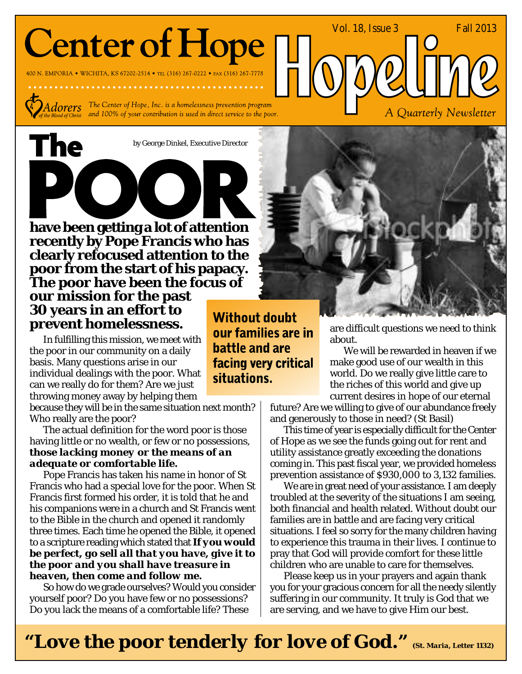# **Center of Hope**

400 N. EMPORIA • WICHITA, KS 67202-2514 • TEL (316) 267-0222 • FAX (316) 267-7778



The

 $Adorers$  The Center of Hope, Inc. is a homelessness prevention program and 100% of your contribution is used in direct service to the poor.

by George Dinkel, Executive Director

POOR **have been getting a lot of attention recently by Pope Francis who has clearly refocused attention to the poor from the start of his papacy. The poor have been the focus of**

**our mission for the past 30 years in an effort to prevent homelessness.**

In fulfilling this mission, we meet with the poor in our community on a daily basis. Many questions arise in our individual dealings with the poor. What can we really do for them? Are we just throwing money away by helping them

because they will be in the same situation next month? Who really are the poor?

The actual definition for the word poor is those having little or no wealth, or few or no possessions, *those lacking money or the means of an adequate or comfortable life.*

Pope Francis has taken his name in honor of St Francis who had a special love for the poor. When St Francis first formed his order, it is told that he and his companions were in a church and St Francis went to the Bible in the church and opened it randomly three times. Each time he opened the Bible, it opened to a scripture reading which stated that *If you would be perfect, go sell all that you have, give it to the poor and you shall have treasure in heaven, then come and follow me.*

So how do we grade ourselves? Would you consider yourself poor? Do you have few or no possessions? Do you lack the means of a comfortable life? These

**Without doubt** our families are in **battle and are** facing very critical situations.



are difficult questions we need to think about.

Vol. 18, Issue 3 Fall 2013

A Quarterly Newsletter

We will be rewarded in heaven if we make good use of our wealth in this world. Do we really give little care to the riches of this world and give up current desires in hope of our eternal

future? Are we willing to give of our abundance freely and generously to those in need? (St Basil)

This time of year is especially difficult for the Center of Hope as we see the funds going out for rent and utility assistance greatly exceeding the donations coming in. This past fiscal year, we provided homeless prevention assistance of \$930,000 to 3,132 families.

We are in great need of your assistance. I am deeply troubled at the severity of the situations I am seeing, both financial and health related. Without doubt our families are in battle and are facing very critical situations. I feel so sorry for the many children having to experience this trauma in their lives. I continue to pray that God will provide comfort for these little children who are unable to care for themselves.

Please keep us in your prayers and again thank you for your gracious concern for all the needy silently suffering in our community. It truly is God that we are serving, and we have to give Him our best.

*"Love the poor tenderly for love of God." (St. Maria, Letter 1132)*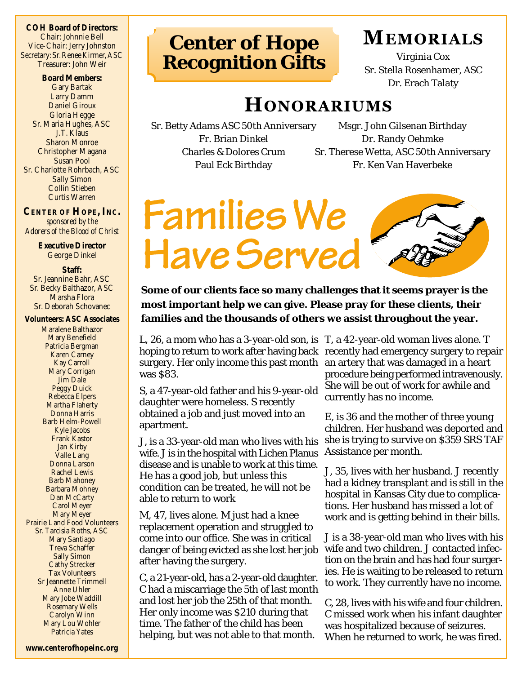**COH Board of Directors:** Chair: Johnnie Bell Vice-Chair: Jerry Johnston Secretary: Sr. Renee Kirmer, ASC Treasurer: John Weir

**Board Members:** Gary Bartak Larry Damm Daniel Giroux Gloria Hegge Sr. Maria Hughes, ASC J.T. Klaus Sharon Monroe Christopher Magana Susan Pool Sr. Charlotte Rohrbach, ASC Sally Simon Collin Stieben Curtis Warren

**CENTER OF HOPE, INC.** *sponsored by the Adorers of the Blood of Christ*

> **Executive Director** George Dinkel

**Staff:** Sr. Jeannine Bahr, ASC Sr. Becky Balthazor, ASC Marsha Flora Sr. Deborah Schovanec

**Volunteers: ASC Associates**

Maralene Balthazor Mary Benefield Patricia Bergman Karen Carney Kay Carroll Mary Corrigan Jim Dale Peggy Duick Rebecca Elpers Martha Flaherty Donna Harris Barb Helm-Powell Kyle Jacobs Frank Kastor Jan Kirby Valle Lang Donna Larson Rachel Lewis Barb Mahoney Barbara Mohney Dan McCarty Carol Meyer Mary Meyer Prairie Land Food Volunteers Sr. Tarcisia Roths, ASC Mary Santiago Treva Schaffer Sally Simon Cathy Strecker Tax Volunteers Sr Jeannette Trimmell Anne Uhler Mary Jobe Waddill Rosemary Wells Carolyn Winn Mary Lou Wohler Patricia Yates

**Center of Hope Recognition Gifts**

### **MEMORIALS**

Virginia Cox Sr. Stella Rosenhamer, ASC Dr. Erach Talaty

### **HONORARIUMS**

Sr. Betty Adams ASC 50th Anniversary Fr. Brian Dinkel Charles & Dolores Crum Paul Eck Birthday

Msgr. John Gilsenan Birthday Dr. Randy Oehmke Sr. Therese Wetta, ASC 50th Anniversary Fr. Ken Van Haverbeke

# **Families We** Have Served

**Some of our clients face so many challenges that it seems prayer is the most important help we can give. Please pray for these clients, their families and the thousands of others we assist throughout the year.**

L, 26, a mom who has a 3-year-old son, is T, a 42-year-old woman lives alone. T hoping to return to work after having back recently had emergency surgery to repair surgery. Her only income this past month an artery that was damaged in a heart was \$83.

S, a 47-year-old father and his 9-year-old daughter were homeless. S recently obtained a job and just moved into an apartment.

J, is a 33-year-old man who lives with his wife. J is in the hospital with Lichen Planus disease and is unable to work at this time. He has a good job, but unless this condition can be treated, he will not be able to return to work

M, 47, lives alone. M just had a knee replacement operation and struggled to come into our office. She was in critical danger of being evicted as she lost her job after having the surgery.

C, a 21-year-old, has a 2-year-old daughter. C had a miscarriage the 5th of last month and lost her job the 25th of that month. Her only income was \$210 during that time. The father of the child has been helping, but was not able to that month.

procedure being performed intravenously. She will be out of work for awhile and currently has no income.

E, is 36 and the mother of three young children. Her husband was deported and she is trying to survive on \$359 SRS TAF Assistance per month.

J, 35, lives with her husband. J recently had a kidney transplant and is still in the hospital in Kansas City due to complications. Her husband has missed a lot of work and is getting behind in their bills.

J is a 38-year-old man who lives with his wife and two children. J contacted infection on the brain and has had four surgeries. He is waiting to be released to return to work. They currently have no income.

C, 28, lives with his wife and four children. C missed work when his infant daughter was hospitalized because of seizures. When he returned to work, he was fired.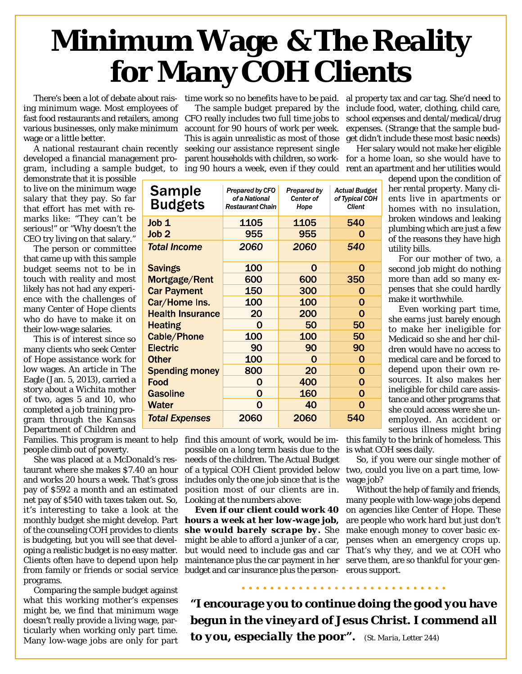## **Minimum Wage & The Reality for Many COH Clients**

ing minimum wage. Most employees of fast food restaurants and retailers, among CFO really includes two full time jobs to various businesses, only make minimum wage or a little better.

A national restaurant chain recently developed a financial management pro-

demonstrate that it is possible to live on the minimum wage salary that they pay. So far that effort has met with remarks like: "They can't be serious!" or "Why doesn't the CEO try living on that salary."

The person or committee that came up with this sample budget seems not to be in touch with reality and most likely has not had any experience with the challenges of many Center of Hope clients who do have to make it on their low-wage salaries.

This is of interest since so many clients who seek Center of Hope assistance work for low wages. An article in The Eagle (Jan. 5, 2013), carried a story about a Wichita mother of two, ages 5 and 10, who completed a job training program through the Kansas Department of Children and

Families. This program is meant to help find this amount of work, would be impeople climb out of poverty.

She was placed at a McDonald's restaurant where she makes \$7.40 an hour and works 20 hours a week. That's gross pay of \$592 a month and an estimated net pay of \$540 with taxes taken out. So, Looking at the numbers above: it's interesting to take a look at the monthly budget she might develop. Part of the counseling COH provides to clients is budgeting, but you will see that developing a realistic budget is no easy matter. Clients often have to depend upon help from family or friends or social service programs.

Comparing the sample budget against what this working mother's expenses might be, we find that minimum wage doesn't really provide a living wage, particularly when working only part time. Many low-wage jobs are only for part

There's been a lot of debate about rais- time work so no benefits have to be paid.  $\;$  al property tax and car tag. She'd need to gram, including a sample budget, to ing 90 hours a week, even if they could The sample budget prepared by the account for 90 hours of work per week. This is again unrealistic as most of those seeking our assistance represent single parent households with children, so work-

include food, water, clothing, child care, school expenses and dental/medical/drug expenses. (Strange that the sample budget didn't include these most basic needs)

Her salary would not make her eligible for a home loan, so she would have to rent an apartment and her utilities would

utility bills.

make it worthwhile.

depend upon the condition of her rental property. Many clients live in apartments or homes with no insulation, broken windows and leaking plumbing which are just a few of the reasons they have high

For our mother of two, a second job might do nothing more than add so many expenses that she could hardly

Even working part time, she earns just barely enough to make her ineligible for Medicaid so she and her children would have no access to medical care and be forced to depend upon their own resources. It also makes her ineligible for child care assistance and other programs that she could access were she unemployed. An accident or

| <b>Sample</b><br><b>Budgets</b> | Prepared by CFO<br>of a National<br><b>Restaurant Chain</b> | Prepared by<br>Center of<br>Hope | <b>Actual Budget</b><br>of Typical COH<br><b>Client</b> |
|---------------------------------|-------------------------------------------------------------|----------------------------------|---------------------------------------------------------|
| Job 1                           | 1105                                                        | 1105                             | 540                                                     |
| Job <sub>2</sub>                | 955                                                         | 955                              | O                                                       |
| <b>Total Income</b>             | 2060                                                        | 2060                             | 540                                                     |
| <b>Savings</b>                  | 100                                                         | O                                | O                                                       |
| Mortgage/Rent                   | 600                                                         | 600                              | 350                                                     |
| <b>Car Payment</b>              | 150                                                         | 300                              | 0                                                       |
| Car/Home Ins.                   | 100                                                         | 100                              | 0                                                       |
| <b>Health Insurance</b>         | 20                                                          | 200                              | O                                                       |
| <b>Heating</b>                  | O                                                           | 50                               | 50                                                      |
| <b>Cable/Phone</b>              | 100                                                         | 100                              | 50                                                      |
| <b>Electric</b>                 | 90                                                          | 90                               | 90                                                      |
| <b>Other</b>                    | 100                                                         | Ω                                | 0                                                       |
| <b>Spending money</b>           | 800                                                         | 20                               | 0                                                       |
| Food                            | 0                                                           | 400                              | O                                                       |
| <b>Gasoline</b>                 | O                                                           | 160                              | 0                                                       |
| Water                           | Ω                                                           | 40                               | O                                                       |
| <b>Total Expenses</b>           | 2060                                                        | 2060                             | 540                                                     |

possible on a long term basis due to the needs of the children. The Actual Budget of a typical COH Client provided below includes only the one job since that is the position most of our clients are in.

maintenance plus the car payment in her serve them, are so thankful for your genbudget and car insurance plus the person- erous support. *Even if our client could work 40 hours a week at her low-wage job, she would barely scrape by.* She might be able to afford a junker of a car, but would need to include gas and car

serious illness might bring this family to the brink of homeless. This is what COH sees daily.

So, if you were our single mother of two, could you live on a part time, lowwage job?

Without the help of family and friends, many people with low-wage jobs depend on agencies like Center of Hope. These are people who work hard but just don't make enough money to cover basic expenses when an emergency crops up. That's why they, and we at COH who

*"I encourage you to continue doing the good you have begun in the vineyard of Jesus Christ. I commend all to you, especially the poor". (St. Maria, Letter 244)*